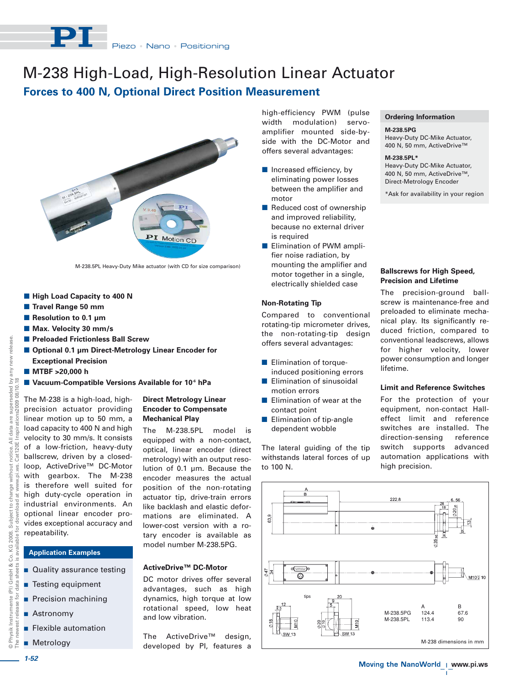

# M-238 High-Load, High-Resolution Linear Actuator

# **Forces to 400 N, Optional Direct Position Measurement**



M-238.5PL Heavy-Duty Mike actuator (with CD for size comparison)

**Direct Metrology Linear Encoder to Compensate Mechanical Play**

The M-238.5PL model is equipped with a non-contact, optical, linear encoder (direct metrology) with an output resolution of 0.1 µm. Because the

model number M-238.5PG.

**ActiveDrive™ DC-Motor**

and low vibration.

- $\blacksquare$  **High Load Capacity to 400 N**
- **Travel Range 50 mm**
- Resolution to 0.1 µm
- **Max. Velocity 30 mm/s**
- $\blacksquare$  **Preloaded Frictionless Ball Screw**
- Optional 0.1 µm Direct-Metrology Linear Encoder for **Exceptional Precision**
- MTBF >20,000 h
- **Vacuum-Compatible Versions Available for 10-6 hPa**

release new I

> The M-238 is a high-load, highprecision actuator providing linear motion up to 50 mm, a load capacity to 400 N and high velocity to 30 mm/s. It consists of a low-friction, heavy-duty ballscrew, driven by a closedloop, ActiveDrive™ DC-Motor with gearbox. The M-238 is therefore well suited for high duty-cycle operation in industrial environments. An optional linear encoder provides exceptional accuracy and repeatability.

# **Application Examples**

- **Quality assurance testing**
- **Testing equipment**
- **Precision machining**
- **Astronomy**
- **Example 3** Flexible automation
- **Metrology**

high-efficiency PWM (pulse width modulation) servoamplifier mounted side-byside with the DC-Motor and offers several advantages:

- **n** Increased efficiency, by eliminating power losses between the amplifier and motor
- **Reduced cost of ownership** and improved reliability, because no external driver is required
- **Elimination of PWM ampli**fier noise radiation, by mounting the amplifier and motor together in a single, electrically shielded case

# **Non-Rotating Tip**

Compared to conventional rotating-tip micrometer drives, the non-rotating-tip design offers several advantages:

- **Elimination of torque**induced positioning errors
- **Elimination of sinusoidal** motion errors
- **Elimination of wear at the** contact point
- **Elimination of tip-angle** dependent wobble

The lateral guiding of the tip withstands lateral forces of up to 100 N.

# **Ordering Information**

#### **M-238.5PG**

Heavy-Duty DC-Mike Actuator, 400 N, 50 mm, ActiveDrive™

#### **M-238.5PL\***

Heavy-Duty DC-Mike Actuator, 400 N, 50 mm, ActiveDrive™, Direct-Metrology Encoder

\*Ask for availability in your region

# **Ballscrews for High Speed, Precision and Lifetime**

The precision-ground ballscrew is maintenance-free and preloaded to eliminate mechanical play. Its significantly reduced friction, compared to conventional leadscrews, allows for higher velocity, lower power consumption and longer lifetime.

### **Limit and Reference Switches**

For the protection of your equipment, non-contact Halleffect limit and reference switches are installed. The direction-sensing reference switch supports advanced automation applications with high precision.